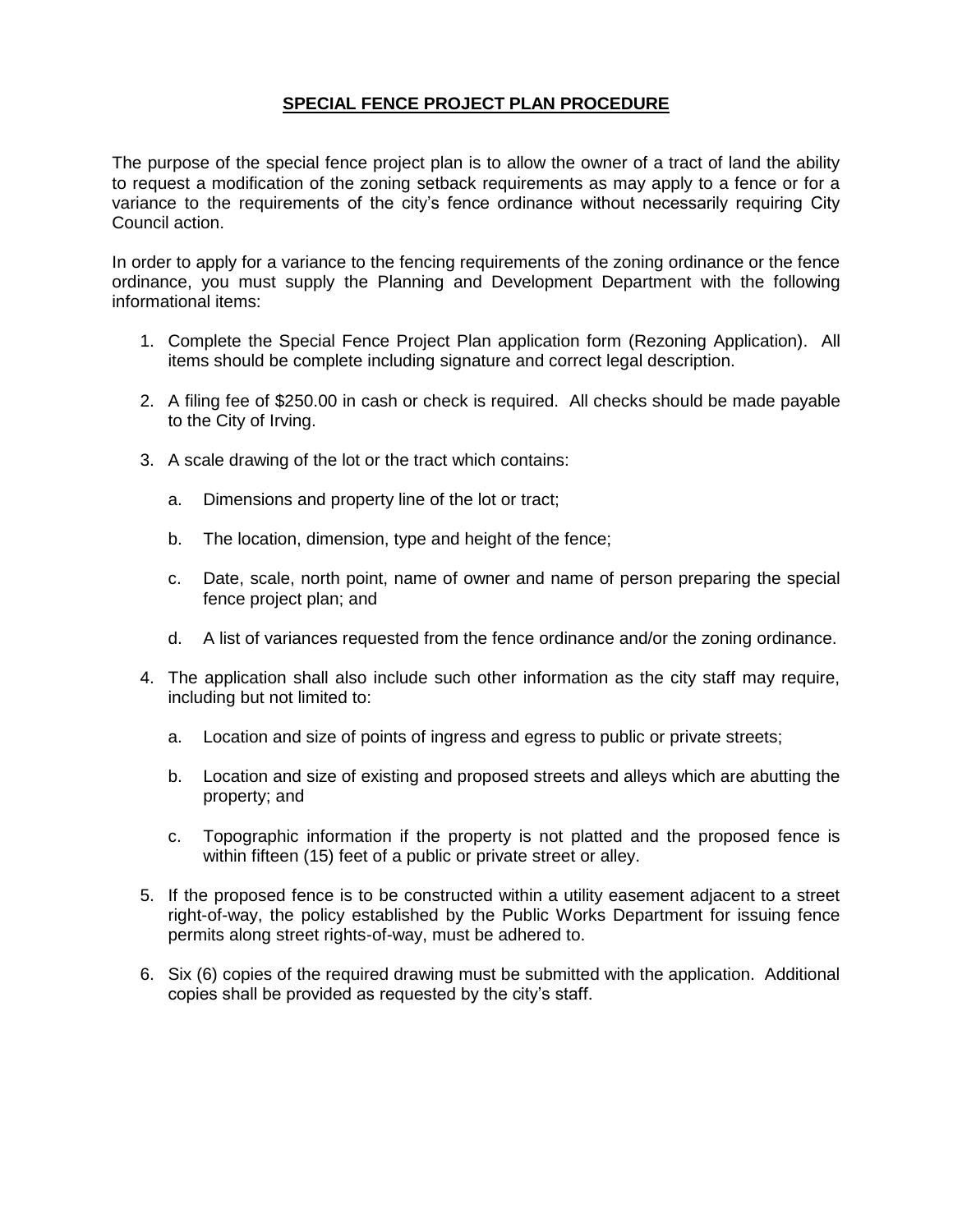# **SPECIAL FENCE PROJECT PLAN PROCEDURE**

The purpose of the special fence project plan is to allow the owner of a tract of land the ability to request a modification of the zoning setback requirements as may apply to a fence or for a variance to the requirements of the city's fence ordinance without necessarily requiring City Council action.

In order to apply for a variance to the fencing requirements of the zoning ordinance or the fence ordinance, you must supply the Planning and Development Department with the following informational items:

- 1. Complete the Special Fence Project Plan application form (Rezoning Application). All items should be complete including signature and correct legal description.
- 2. A filing fee of \$250.00 in cash or check is required. All checks should be made payable to the City of Irving.
- 3. A scale drawing of the lot or the tract which contains:
	- a. Dimensions and property line of the lot or tract;
	- b. The location, dimension, type and height of the fence;
	- c. Date, scale, north point, name of owner and name of person preparing the special fence project plan; and
	- d. A list of variances requested from the fence ordinance and/or the zoning ordinance.
- 4. The application shall also include such other information as the city staff may require, including but not limited to:
	- a. Location and size of points of ingress and egress to public or private streets;
	- b. Location and size of existing and proposed streets and alleys which are abutting the property; and
	- c. Topographic information if the property is not platted and the proposed fence is within fifteen (15) feet of a public or private street or alley.
- 5. If the proposed fence is to be constructed within a utility easement adjacent to a street right-of-way, the policy established by the Public Works Department for issuing fence permits along street rights-of-way, must be adhered to.
- 6. Six (6) copies of the required drawing must be submitted with the application. Additional copies shall be provided as requested by the city's staff.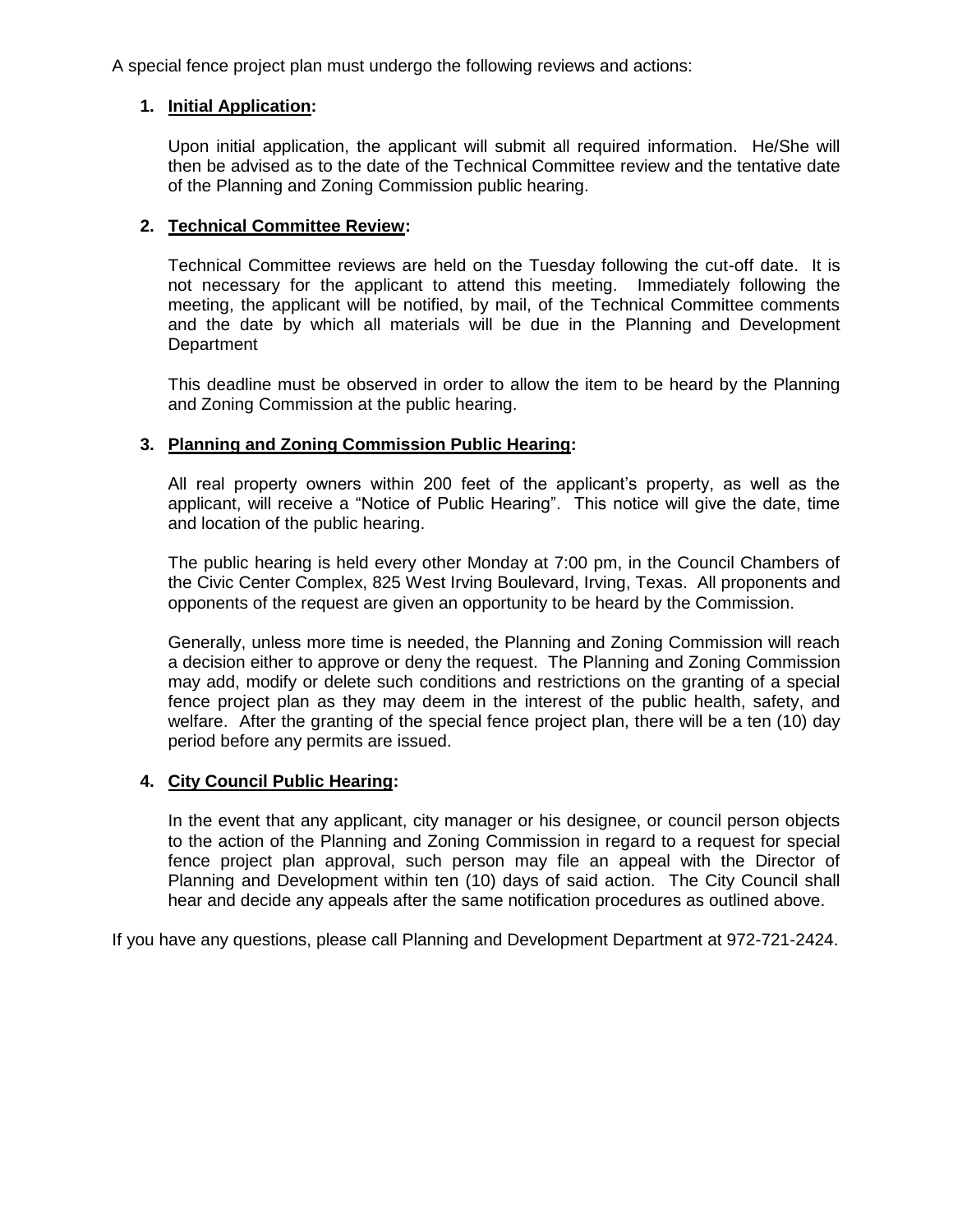A special fence project plan must undergo the following reviews and actions:

# **1. Initial Application:**

Upon initial application, the applicant will submit all required information. He/She will then be advised as to the date of the Technical Committee review and the tentative date of the Planning and Zoning Commission public hearing.

# **2. Technical Committee Review:**

Technical Committee reviews are held on the Tuesday following the cut-off date. It is not necessary for the applicant to attend this meeting. Immediately following the meeting, the applicant will be notified, by mail, of the Technical Committee comments and the date by which all materials will be due in the Planning and Development Department

This deadline must be observed in order to allow the item to be heard by the Planning and Zoning Commission at the public hearing.

#### **3. Planning and Zoning Commission Public Hearing:**

All real property owners within 200 feet of the applicant's property, as well as the applicant, will receive a "Notice of Public Hearing". This notice will give the date, time and location of the public hearing.

The public hearing is held every other Monday at 7:00 pm, in the Council Chambers of the Civic Center Complex, 825 West Irving Boulevard, Irving, Texas. All proponents and opponents of the request are given an opportunity to be heard by the Commission.

Generally, unless more time is needed, the Planning and Zoning Commission will reach a decision either to approve or deny the request. The Planning and Zoning Commission may add, modify or delete such conditions and restrictions on the granting of a special fence project plan as they may deem in the interest of the public health, safety, and welfare. After the granting of the special fence project plan, there will be a ten (10) day period before any permits are issued.

# **4. City Council Public Hearing:**

In the event that any applicant, city manager or his designee, or council person objects to the action of the Planning and Zoning Commission in regard to a request for special fence project plan approval, such person may file an appeal with the Director of Planning and Development within ten (10) days of said action. The City Council shall hear and decide any appeals after the same notification procedures as outlined above.

If you have any questions, please call Planning and Development Department at 972-721-2424.